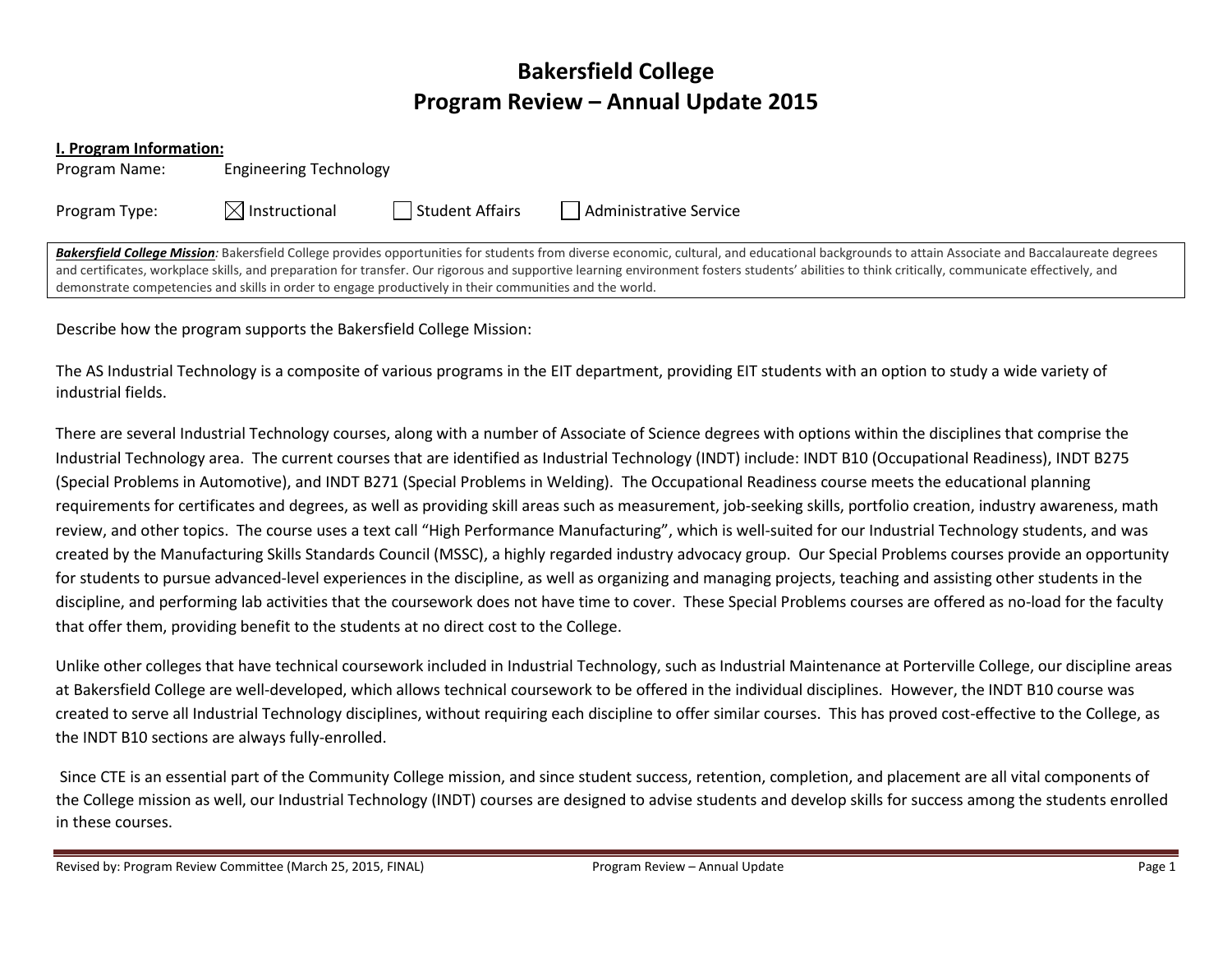# Bakersfield College Program Review – Annual Update 2015

|  |  |  | I. Program Information: |
|--|--|--|-------------------------|
|--|--|--|-------------------------|

| Program Name: |  |
|---------------|--|
|---------------|--|

Program Type:  $\boxtimes$  Instructional  $\Box$  Student Affairs  $\Box$  Administrative Service

Bakersfield College Mission: Bakersfield College provides opportunities for students from diverse economic, cultural, and educational backgrounds to attain Associate and Baccalaureate degrees and certificates, workplace skills, and preparation for transfer. Our rigorous and supportive learning environment fosters students' abilities to think critically, communicate effectively, and demonstrate competencies and skills in order to engage productively in their communities and the world.

Describe how the program supports the Bakersfield College Mission:

**Engineering Technology** 

The AS Industrial Technology is a composite of various programs in the EIT department, providing EIT students with an option to study a wide variety of industrial fields.

There are several Industrial Technology courses, along with a number of Associate of Science degrees with options within the disciplines that comprise the Industrial Technology area. The current courses that are identified as Industrial Technology (INDT) include: INDT B10 (Occupational Readiness), INDT B275 (Special Problems in Automotive), and INDT B271 (Special Problems in Welding). The Occupational Readiness course meets the educational planning requirements for certificates and degrees, as well as providing skill areas such as measurement, job-seeking skills, portfolio creation, industry awareness, math review, and other topics. The course uses a text call "High Performance Manufacturing", which is well-suited for our Industrial Technology students, and was created by the Manufacturing Skills Standards Council (MSSC), a highly regarded industry advocacy group. Our Special Problems courses provide an opportunity for students to pursue advanced-level experiences in the discipline, as well as organizing and managing projects, teaching and assisting other students in the discipline, and performing lab activities that the coursework does not have time to cover. These Special Problems courses are offered as no‐load for the faculty that offer them, providing benefit to the students at no direct cost to the College.

Unlike other colleges that have technical coursework included in Industrial Technology, such as Industrial Maintenance at Porterville College, our discipline areas at Bakersfield College are well-developed, which allows technical coursework to be offered in the individual disciplines. However, the INDT B10 course was created to serve all Industrial Technology disciplines, without requiring each discipline to offer similar courses. This has proved cost‐effective to the College, as the INDT B10 sections are always fully‐enrolled.

 Since CTE is an essential part of the Community College mission, and since student success, retention, completion, and placement are all vital components of the College mission as well, our Industrial Technology (INDT) courses are designed to advise students and develop skills for success among the students enrolled in these courses.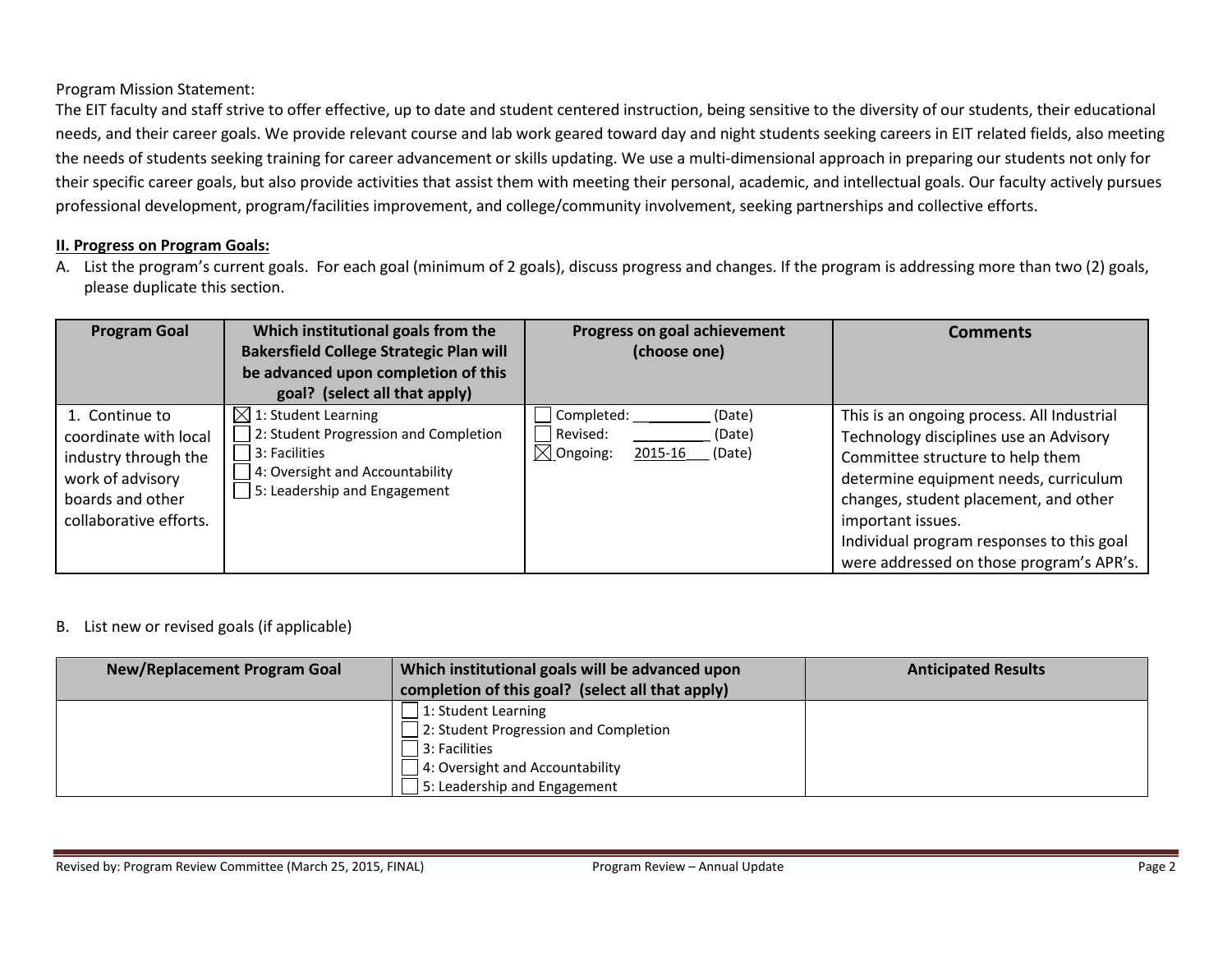Program Mission Statement:

The EIT faculty and staff strive to offer effective, up to date and student centered instruction, being sensitive to the diversity of our students, their educational needs, and their career goals. We provide relevant course and lab work geared toward day and night students seeking careers in EIT related fields, also meeting the needs of students seeking training for career advancement or skills updating. We use a multi-dimensional approach in preparing our students not only for their specific career goals, but also provide activities that assist them with meeting their personal, academic, and intellectual goals. Our faculty actively pursues professional development, program/facilities improvement, and college/community involvement, seeking partnerships and collective efforts.

#### II. Progress on Program Goals:

A. List the program's current goals. For each goal (minimum of 2 goals), discuss progress and changes. If the program is addressing more than two (2) goals, please duplicate this section.

| <b>Program Goal</b>                                                                                                               | Which institutional goals from the<br><b>Bakersfield College Strategic Plan will</b><br>be advanced upon completion of this<br>goal? (select all that apply) | Progress on goal achievement<br>(choose one)                                            | <b>Comments</b>                                                                                                                                                                                                                                                                                                          |
|-----------------------------------------------------------------------------------------------------------------------------------|--------------------------------------------------------------------------------------------------------------------------------------------------------------|-----------------------------------------------------------------------------------------|--------------------------------------------------------------------------------------------------------------------------------------------------------------------------------------------------------------------------------------------------------------------------------------------------------------------------|
| 1. Continue to<br>coordinate with local<br>industry through the<br>work of advisory<br>boards and other<br>collaborative efforts. | $\boxtimes$ 1: Student Learning<br>2: Student Progression and Completion<br>3: Facilities<br>4: Oversight and Accountability<br>5: Leadership and Engagement | Completed:<br>(Date)<br>Revised:<br>(Date)<br>$\boxtimes$ Ongoing:<br>2015-16<br>(Date) | This is an ongoing process. All Industrial<br>Technology disciplines use an Advisory<br>Committee structure to help them<br>determine equipment needs, curriculum<br>changes, student placement, and other<br>important issues.<br>Individual program responses to this goal<br>were addressed on those program's APR's. |

#### B. List new or revised goals (if applicable)

| <b>New/Replacement Program Goal</b> | Which institutional goals will be advanced upon<br>completion of this goal? (select all that apply) | <b>Anticipated Results</b> |
|-------------------------------------|-----------------------------------------------------------------------------------------------------|----------------------------|
|                                     | 1: Student Learning<br>2: Student Progression and Completion                                        |                            |
|                                     | 3: Facilities                                                                                       |                            |
|                                     | 4: Oversight and Accountability                                                                     |                            |
|                                     | 5: Leadership and Engagement                                                                        |                            |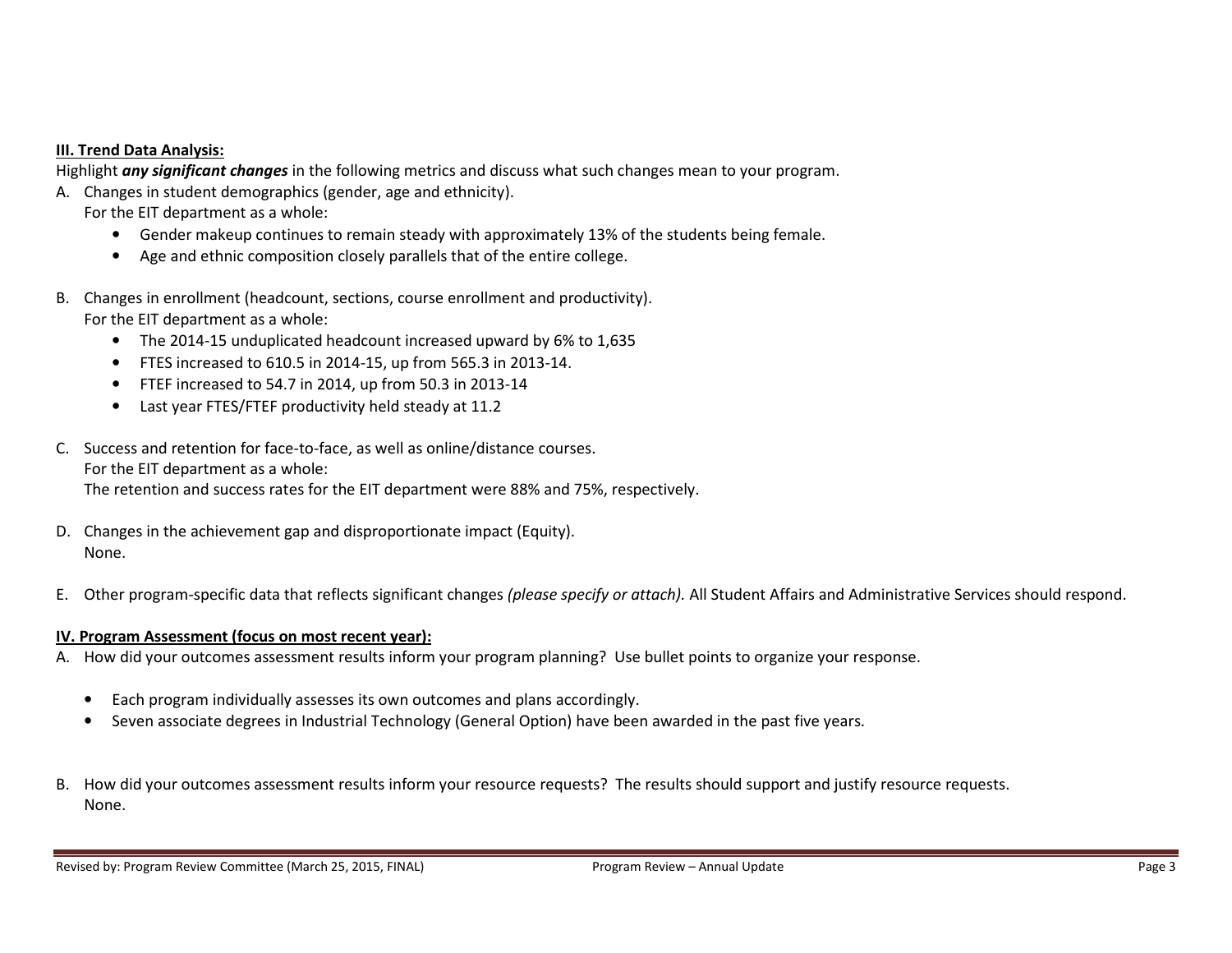#### III. Trend Data Analysis:

Highlight any significant changes in the following metrics and discuss what such changes mean to your program.

- A. Changes in student demographics (gender, age and ethnicity).
	- For the EIT department as a whole:
		- Gender makeup continues to remain steady with approximately 13% of the students being female.
		- •Age and ethnic composition closely parallels that of the entire college.
- B. Changes in enrollment (headcount, sections, course enrollment and productivity). For the EIT department as a whole:
	- The 2014‐15 unduplicated headcount increased upward by 6% to 1,635
	- FTES increased to 610.5 in 2014‐15, up from 565.3 in 2013‐14.
	- FTEF increased to 54.7 in 2014, up from 50.3 in 2013‐14
	- •Last year FTES/FTEF productivity held steady at 11.2
- C. Success and retention for face‐to‐face, as well as online/distance courses. For the EIT department as a whole: The retention and success rates for the EIT department were 88% and 75%, respectively.
- D. Changes in the achievement gap and disproportionate impact (Equity). None.
- E. Other program-specific data that reflects significant changes *(please specify or attach).* All Student Affairs and Administrative Services should respond.

#### IV. Program Assessment (focus on most recent year):

- A. How did your outcomes assessment results inform your program planning? Use bullet points to organize your response.
	- •Each program individually assesses its own outcomes and plans accordingly.
	- $\bullet$ Seven associate degrees in Industrial Technology (General Option) have been awarded in the past five years.
- B. How did your outcomes assessment results inform your resource requests? The results should support and justify resource requests. None.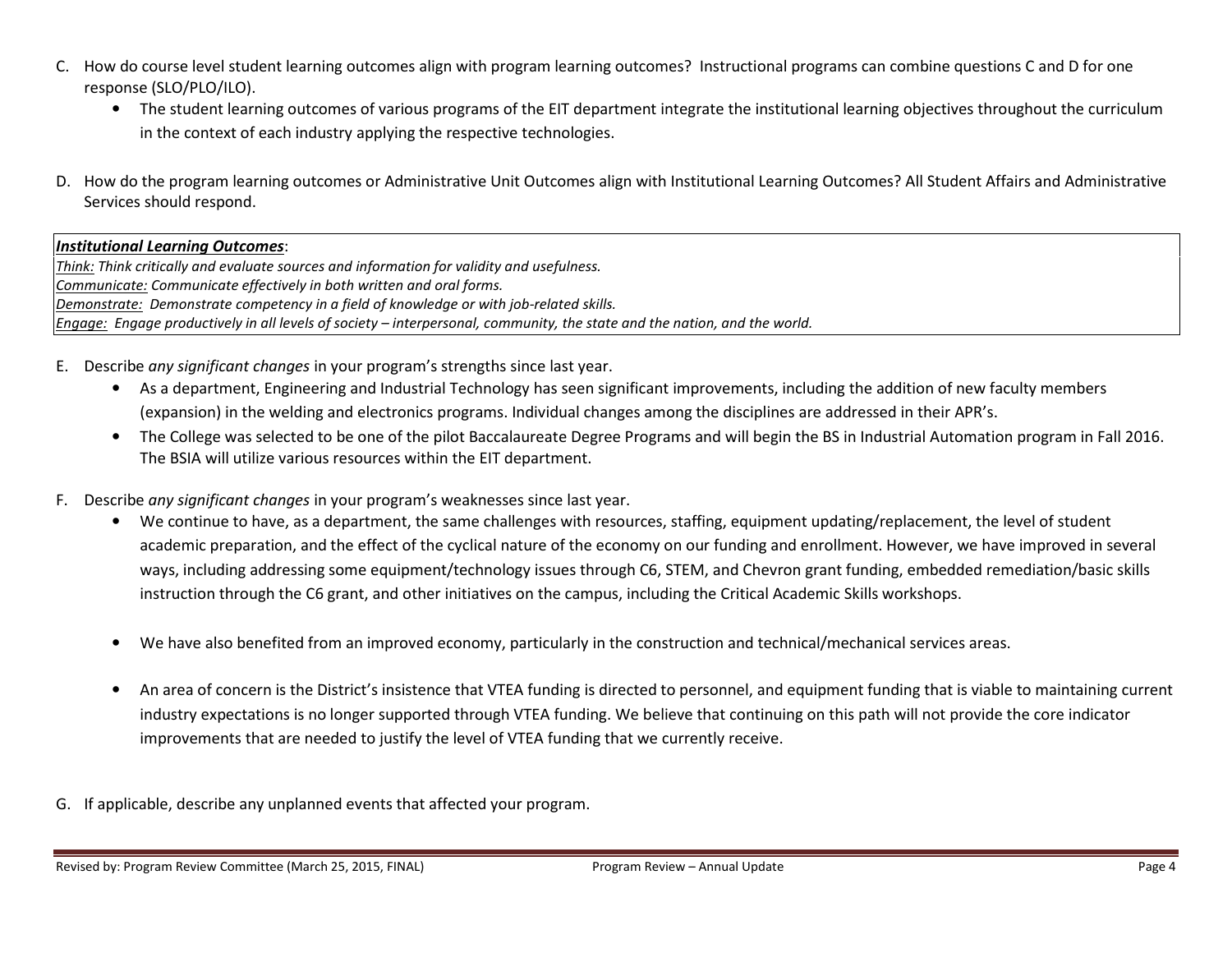- C. How do course level student learning outcomes align with program learning outcomes? Instructional programs can combine questions C and D for one response (SLO/PLO/ILO).
	- The student learning outcomes of various programs of the EIT department integrate the institutional learning objectives throughout the curriculum in the context of each industry applying the respective technologies.
- D. How do the program learning outcomes or Administrative Unit Outcomes align with Institutional Learning Outcomes? All Student Affairs and Administrative Services should respond.

#### Institutional Learning Outcomes:

Think: Think critically and evaluate sources and information for validity and usefulness. Communicate: Communicate effectively in both written and oral forms. Demonstrate: Demonstrate competency in a field of knowledge or with job-related skills. Engage: Engage productively in all levels of society – interpersonal, community, the state and the nation, and the world.

- E. Describe any significant changes in your program's strengths since last year.
	- As a department, Engineering and Industrial Technology has seen significant improvements, including the addition of new faculty members (expansion) in the welding and electronics programs. Individual changes among the disciplines are addressed in their APR's.
	- The College was selected to be one of the pilot Baccalaureate Degree Programs and will begin the BS in Industrial Automation program in Fall 2016. The BSIA will utilize various resources within the EIT department.
- F. Describe *any significant changes* in your program's weaknesses since last year.
	- We continue to have, as a department, the same challenges with resources, staffing, equipment updating/replacement, the level of student academic preparation, and the effect of the cyclical nature of the economy on our funding and enrollment. However, we have improved in several ways, including addressing some equipment/technology issues through C6, STEM, and Chevron grant funding, embedded remediation/basic skills instruction through the C6 grant, and other initiatives on the campus, including the Critical Academic Skills workshops.
	- •We have also benefited from an improved economy, particularly in the construction and technical/mechanical services areas.
	- • An area of concern is the District's insistence that VTEA funding is directed to personnel, and equipment funding that is viable to maintaining current industry expectations is no longer supported through VTEA funding. We believe that continuing on this path will not provide the core indicator improvements that are needed to justify the level of VTEA funding that we currently receive.
- G. If applicable, describe any unplanned events that affected your program.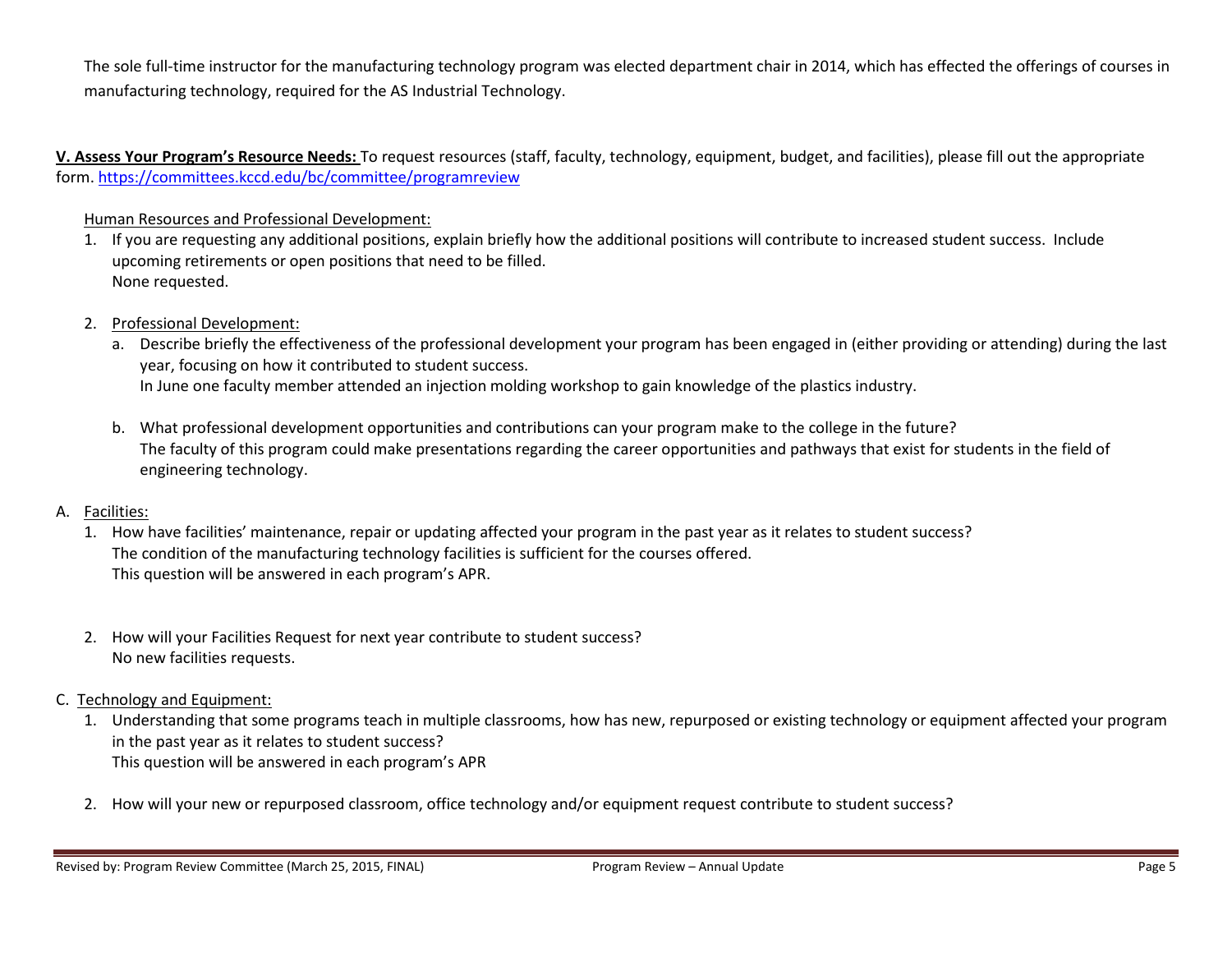The sole full‐time instructor for the manufacturing technology program was elected department chair in 2014, which has effected the offerings of courses in manufacturing technology, required for the AS Industrial Technology.

V. Assess Your Program's Resource Needs: To request resources (staff, faculty, technology, equipment, budget, and facilities), please fill out the appropriate form. https://committees.kccd.edu/bc/committee/programreview

### Human Resources and Professional Development:

- 1. If you are requesting any additional positions, explain briefly how the additional positions will contribute to increased student success. Include upcoming retirements or open positions that need to be filled. None requested.
- 2. Professional Development:
	- a. Describe briefly the effectiveness of the professional development your program has been engaged in (either providing or attending) during the last year, focusing on how it contributed to student success. In June one faculty member attended an injection molding workshop to gain knowledge of the plastics industry.
	- b. What professional development opportunities and contributions can your program make to the college in the future? The faculty of this program could make presentations regarding the career opportunities and pathways that exist for students in the field of engineering technology.

## A. <u>Facilities:</u>

- 1. How have facilities' maintenance, repair or updating affected your program in the past year as it relates to student success? The condition of the manufacturing technology facilities is sufficient for the courses offered. This question will be answered in each program's APR.
- 2. How will your Facilities Request for next year contribute to student success? No new facilities requests.
- C. Technology and Equipment:
	- 1. Understanding that some programs teach in multiple classrooms, how has new, repurposed or existing technology or equipment affected your program in the past year as it relates to student success? This question will be answered in each program's APR
	- 2. How will your new or repurposed classroom, office technology and/or equipment request contribute to student success?